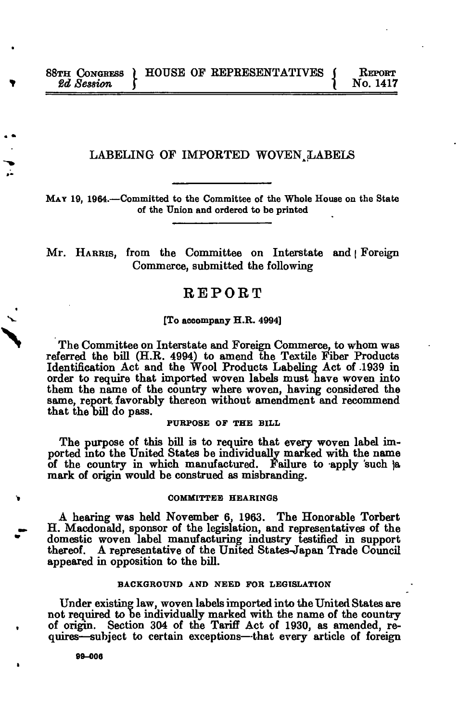## LABELING OF IMPORTED WOVEN LABELS

**MAY 19, 1964.—Committed to the Committee of the Whole House on the State of the Union and ordered to be printed** 

Mr. HARRIS, from the Committee on Interstate and | Foreign Commerce, submitted the following

# REPORT

#### **[To accompany H.R. 4994]**

The Committee on Interstate and Foreign Commerce, to whom was referred the bill (H.R. 4994) to amend the Textile Fiber Products Identification Act and the Wool Products Labeling Act of .1939 in order to require that imported woven labels must have woven into them the name of the country where woven, having considered the same, report, favorably thereon without amendment and recommend that the bill do pass.

**PURPOSE OF THE BILL** 

The purpose of this bill is to require that every woven label imported into the United States be individually marked with the name of the country in which manufactured. Failure to apply such ja mark of origin would be construed as misbranding.

#### **COMMITTEE HEARINGS**

A hearing was held November 6, 1963. The Honorable Torbert H. Macdonald, sponsor of the legislation, and representatives of the domestic woven label manufacturing industry testified in support thereof. A representative of the United States-Japan Trade Council appeared in opposition to the bill.

#### **BACKGROUND AND NEED FOR LEGISLATION**

Under existing law, woven labels imported into the United States are not required to be individually marked with the name of the country of origin. Section 304 of the Tariff Act of 1930, as amended, requires—subject to certain exceptions—that every article of foreign

**90-006**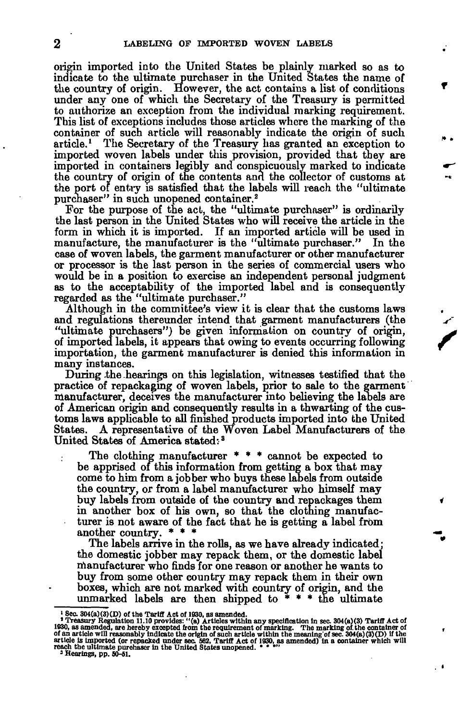origin imported into the United States be plainly marked so as to indicate to the ultimate purchaser in the United States the name of the country of origin. However, the act contains a list of conditions under any one of which the Secretary of the Treasury is permitted to authorize an exception from the individual marking requirement. This list of exceptions includes those articles where the marking of the container of such article will reasonably indicate the origin of such article.<sup>1</sup> The Secretary of the Treasury has granted an exception to imported woven labels under this provision, provided that they are imported in containers legibly and conspicuously marked to indicate the country of origin of the contents and the collector of customs at the port of entry is satisfied that the labels will reach the "ultimate purchaser" in such unopened container.<sup>2</sup>

For the purpose of the act, the "ultimate purchaser" is ordinarily the last person in the United States who will receive the article in the form in which it is imported. If an imported article will be used in manufacture, the manufacturer is the "ultimate purchaser." In the case of woven labels, the garment manufacturer or other manufacturer or processor is the last person in the series of commercial users who would be in a position to exercise an independent personal judgment as to the acceptability of the imported label and is consequently regarded as the "ultimate purchaser."

Although in the committee's view it is clear that the customs laws and regulations thereunder intend that garment manufacturers (the "ultimate purchasers") be given information on country of origin, of imported labels, it appears that owing to events occurring following importation, the garment manufacturer is denied this information in many instances.

During .the hearings on this legislation, witnesses testified that the practice of repackaging of woven labels, prior to sale to the garment manufacturer, deceives the manufacturer into believing the labels are of American origin and consequently results in a thwarting of the customs laws applicable to all finished products imported into the United States. A representative of the Woven Label Manufacturers of the United States of America stated:<sup>3</sup>

The clothing manufacturer \* \* \* cannot be expected to be apprised of this information from getting a box that may come to him from a jobber who buys these labels from outside the country, or from a label manufacturer who himself may buy labels from outside of the country and repackages them in another box of his own, so that the clothing manufacturer is not aware of the fact that he is getting a label from another country.

The labels arrive in the rolls, as we have already indicated; the domestic jobber may repack them, or the domestic label manufacturer who finds for one reason or another he wants to buy from some other country may repack them in their own boxes, which are not marked with country of origin, and the unmarked labels are then shipped to  $* * *$  the ultimate

<sup>&</sup>lt;sup>1</sup> Sec. 304(a)(3)(D) of the Tariff Act of 1930, as amended.<br>
<sup>2</sup> Treasury Regulation 1n Sec. 304(a)(3) Tariff Act of 1930, as amended.<br>
<sup>2</sup> Treasury Regulation 11.10 provides: "(a) Articles within any specification in se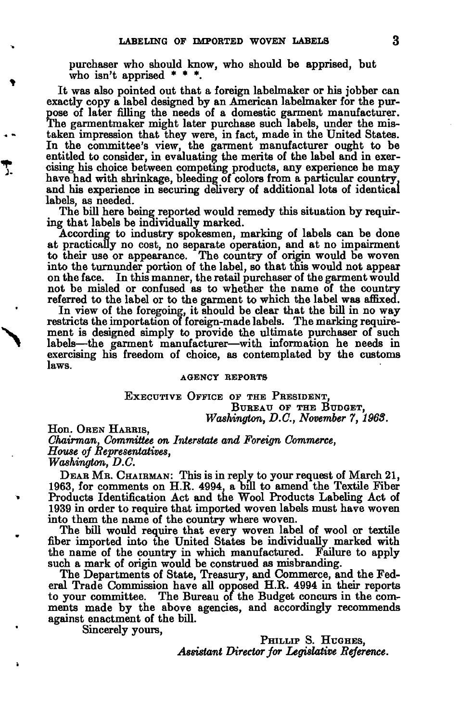purchaser who should know, who should be apprised, but who isn't apprised  $* * *$ .

It was also pointed out that a foreign labelmaker or his jobber can exactly copy a label designed by an American labelmaker for the purpose of later filling the needs of a domestic garment manufacturer. The garmentmaker might later purchase such labels, under the mistaken impression that they were, in fact, made in the United States. In the committee's view, the garment manufacturer ought to be entitled to consider, in evaluating the merits of the label and in exercising his choice between competing products, any experience he may have had with shrinkage, bleeding of colors from a particular country, and his experience in securing delivery of additional lots of identical labels, as needed.

The bill here being reported would remedy this situation by requiring that labels be individually marked.

According to industry spokesmen, marking of labels can be done at practically no cost, no separate operation, and at no impairment to their use or appearance. The country of origin would be woven into the turnunder portion of the label, so that this would not appear<br>on the face. In this manner, the retail purchaser of the garment would In this manner, the retail purchaser of the garment would not be misled or confused as to whether the name of the country referred to the label or to the garment to which the label was affixed.

In view of the foregoing, it should be clear that the bill in no way restricts the importation of foreign-made labels. The marking requirement is designed simply to provide the ultimate purchaser of such labels—the garment manufacturer—with information he needs in exercising his freedom of choice, as contemplated by the customs laws.

#### AGENCY REPORTS

EXECUTIVE OFFICE OF THE PRESIDENT, BUREAU OF THE BUDGET, *Washington, D.C., November 7, 1968.* 

Hon. OREN HARRIS,

*Chairman, Committee on Interstate and Foreign Commerce, House of Representatives, Washington, D.C.* 

DEAR MR . CHAIRMAN: This is in reply to your request of March 21, 1963, for comments on H.R. 4994, a bill to amend the Textile Fiber Products Identification Act and the Wool Products Labeling Act of 1939 in order to require that imported woven labels must have woven into them the name of the country where woven.

The bill would require that every woven label of wool or textile fiber imported into the United States be individually marked with the name of the country in which manufactured. Failure to apply such a mark of origin would be construed as misbranding.

The Departments of State, Treasury, and Commerce, and the Federal Trade Commission have all opposed H.R. 4994 in their reports to your committee. The Bureau of the Budget concurs in the comments made by the above agencies, and accordingly recommends against enactment of the bill.

Sincerely yours,

PHILLIP S. HUGHES. *Assistant Director for Legislative Reference.*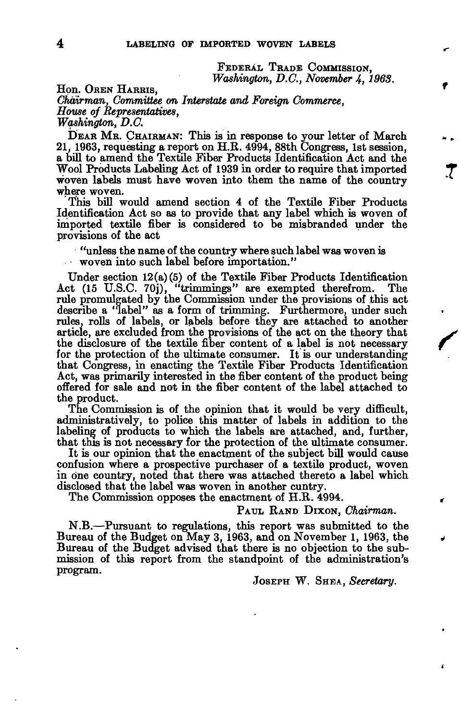FEDERAL TRADE COMMISSION, *Washington, D.C., November 4, 1963.* 

Hon. OREN HARRIS, *Chairman, Committee on Interstate and Foreign Commerce, House of Representatives,* 

*Washington, D.C.* 

DEAR MR . CHAIRMAN: This is in response to your letter of March 21, 1963, requesting a report on H.R. 4994, 88th Congress, 1st session, a bill to amend the Textile Fiber Products Identification Act and the Wool Products Labeling Act of 1939 in order to require that imported woven labels must have woven into them the name of the country where woven.

This bill would amend section 4 of the Textile Fiber Products Identification Act so as to provide that any label which is woven of imported textile fiber is considered to be misbranded under the provisions of the act

"unless the name of the country where such label was woven is woven into such label before importation."

Under section 12(a)(5) of the Textile Fiber Products Identification Act (15 U.S.C. 70j), "trimmings" are exempted therefrom. The rule promulgated by the Commission under the provisions of this act describe a "label" as a form of trimming. Furthermore, under such rules, rolls of labels, or labels before they are attached to another article, are excluded from the provisions of the act on the theory that the disclosure of the textile fiber content of a label is not necessary for the protection of the ultimate consumer. It is our understanding that Congress, in enacting the Textile Fiber Products Identification Act, was primarily interested in the fiber content of the product being offered for sale and not in the fiber content of the label attached to the product.

The Commission is of the opinion that it would be very difficult, administratively, to police this matter of labels in addition to the labeling of products to which the labels are attached, and, further, that this is not necessary for the protection of the ultimate consumer.

It is our opinion that the enactment of the subject bill would cause confusion where a prospective purchaser of a textile product, woven in one country, noted that there was attached thereto a label which disclosed that the label was woven in another cuntry.

The Commission opposes the enactment of H.R. 4994.

## PAUL RAND DIXON, *Chairman.*

N.B.—Pursuant to regulations, this report was submitted to the Bureau of the Budget on May 3, 1963, and on November 1, 1963, the Bureau of the Budget advised that there is no objection to the submission of this report from the standpoint of the administration's program.

JOSEPH W. SHEA, *Secretary.*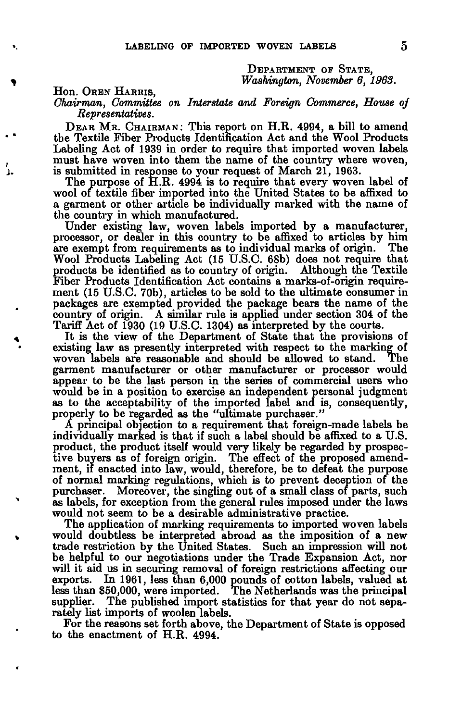DEPARTMENT OF STATE, *Washington, November 6, 1963.* 

## Hon. OREN HARRIS,

*Chairman, Committee on Interstate and Foreign Commerce, House oj Representatives.* 

DEAR MR. CHAIRMAN: This report on H.R. 4994, a bill to amend the Textile Fiber Products Identification Act and the Wool Products Labeling Act of 1939 in order to require that imported woven labels must have woven into them the name of the country where woven, is submitted in response to your request of March 21, 1963.

The purpose of H.R. 4994 is to require that every woven label of wool of textile fiber imported into the United States to be affixed to a garment or other article be individually marked with the name of the country in which manufactured.

Under existing law, woven labels imported by a manufacturer, processor, or dealer in this country to be affixed to articles by him are exempt from requirements as to individual marks of origin. Wool Products Labeling Act (15 U.S.C. 68b) does not require that products be identified as to country of origin. Although the Textile Fiber Products Identification Act contains a marks-of-origin requirement (15 U.S.C. 70b), articles to be sold to the ultimate consumer in packages are exempted provided the package bears the name of the country of origin. A similar rule is applied under section 304 of the Tariff Act of 1930 (19 U.S.C. 1304) as interpreted by the courts.

It is the view of the Department of State that the provisions of existing law as presently interpreted with respect to the marking of woven labels are reasonable and should be allowed to stand. The garment manufacturer or other manufacturer or processor would appear to be the last person in the series of commercial users who would be in a position to exercise an independent personal judgment as to the acceptability of the imported label and is, consequently, properly to be regarded as the "ultimate purchaser."

A principal objection to a requirement that foreign-made labels be individually marked is that if such a label should be affixed to a U.S. product, the product itself would very likely be regarded by prospective buyers as of foreign origin. The effect of the proposed amendment, if enacted into law, would, therefore, be to defeat the purpose of normal marking regulations, which is to prevent deception of the purchaser. Moreover, the singling out of a small class of parts, such as labels, for exception from the general rules imposed under the laws would not seem to be a desirable administrative practice.

The application of marking requirements to imported woven labels would doubtless be interpreted abroad as the imposition of a new trade restriction by the United States. Such an impression will not be helpful to our negotiations under the Trade Expansion Act, nor will it aid us in securing removal of foreign restrictions affecting our exports. In 1961, less than 6,000 pounds of cotton labels, valued at less than \$50,000, were imported. The Netherlands was the principal supplier. The published import statistics for that year do not separately list imports of woolen labels.

For the reasons set forth above, the Department of State is opposed to the enactment of H.R. 4994.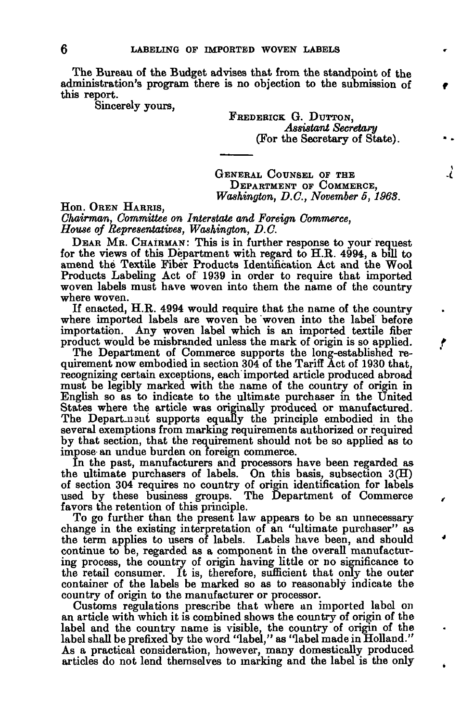The Bureau of the Budget advises that from the standpoint of the administration's program there is no objection to the submission of this report.

Sincerely yours,

FREDERICK G. DUTTON, *Assistant Secretary*  (For the Secretary of State).

GENERAL COUNSEL OF THE DEPARTMENT OF COMMERCE, *Washington, D.C., November 5, 1968.*  7

Hon. OREN HARRIS, *Chairman, Committee on Interstate and Foreign Commerce, House of Representatives, Washington, D.C.* 

DEAR MR. CHAIRMAN: This is in further response to your request for the views of this Department with regard to H.R. 4994, a bill to amend the Textile Fiber Products Identification Act and the Wool Products Labeling Act of 1939 in order to require that imported woven labels must have woven into them the name of the country where woven.

If enacted, H.R. 4994 would require that the name of the country where imported labels are woven be woven into the label before importation. Any woven label which is an imported textile fiber product would be misbranded unless the mark of origin is so applied.

The Department of Commerce supports the long-established requirement now embodied in section 304 of the Tariff Act of 1930 that, recognizing certain exceptions, each imported article produced abroad must be legibly marked with the name of the country of origin in English so as to indicate to the ultimate purchaser in the United States where the article was originally produced or manufactured. The Depart-usut supports equally the principle embodied in the several exemptions from marking requirements authorized or required by that section, that the requirement should not be so applied as to impose an undue burden on foreign commerce.

In the past, manufacturers and processors have been regarded as the ultimate purchasers of labels. On this basis, subsection 3(H) of section 304 requires no country of origin identification for labels used by these business groups. The Department of Commerce favors the retention of this principle.

To go further than the present law appears to be an unnecessary change in the existing interpretation of an "ultimate purchaser" as the term applies to users of labels. Labels have been, and should continue to be, regarded as a component in the overall manufacturing process, the country of origin having little or no significance to the retail consumer. It is, therefore, sufficient that only the outer container of the labels be marked so as to reasonably indicate the country of origin to the manufacturer or processor.

Customs regulations prescribe that where an imported label on an article with which it is combined shows the country of origin of the label and the country name is visible, the country of origin of the label shall be prefixed by the word "label," as "label made in Holland." As a practical consideration, however, many domestically produced articles do not lend themselves to marking and the label is the only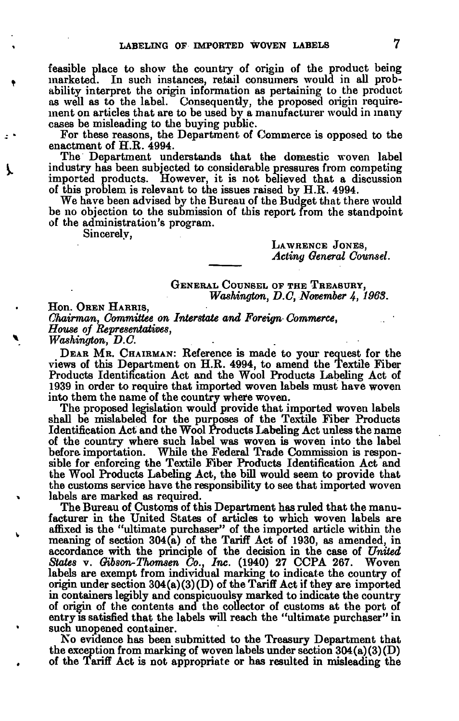feasible place to show the country of origin of the product being marketed. In such instances, retail consumers would in all probability interpret the origin information as pertaining to the product as well as to the label. Consequently, the proposed origin requirement on articles that are to be used by a manufacturer would in many cases be misleading to the buying public.

For these reasons, the Department of Commerce is opposed to the enactment of H.R. 4994.

The Department understands that the domestic woven label industry has been subjected to considerable pressures from competing imported products. However, it is not believed that a discussion of this problem is relevant to the issues raised by H.R. 4994.

We have been advised by the Bureau of the Budget that there would be no objection to the submission of this report from the standpoint of the administration's program.

Sincerely,

LAWRENCE JONES, *Acting General Counsel.* 

GENERAL COUNSEL OF THE TREASURY, *Washington, D.C, November 4, 1963.* 

Hon. OREN HARRIS, *Chairman, Committee on Interstate and Foreign Commerce, House of Representatives, Washington, D.C.* 

DEAR MR. CHAIRMAN: Reference is made to your request for the views of this Department on H.R. 4994, to amend the Textile Fiber Products Identification Act and the Wool Products Labeling Act of 1939 in order to require that imported woven labels must have woven into them the name of the country where woven.

The proposed legislation would provide that imported woven labels shall be mislabeled for the purposes of the Textile Fiber Products Identification Act and the Wool Products Labeling Act unless the name of the country where such label was woven is woven into the label before importation. While the Federal Trade Commission is responsible for enforcing the Textile Fiber Products Identification Act and the Wool Products Labeling Act, the bill would seem to provide that the customs service have the responsibility to see that imported woven labels are marked as required.

The Bureau of Customs of this Department has ruled that the manufacturer in the United States of articles to which woven labels are affixed is the "ultimate purchaser" of the imported article within the meaning of section 304(a) of the Tariff Act of 1930, as amended, in accordance with the principle of the decision in the case of *United States* v. *Gibson-Thomsen Co., Inc.* (1940) 27 CCPA 267. Woven labels are exempt from individual marking to indicate the country of origin under section  $304(a)(3)(D)$  of the Tariff Act if they are imported in containers legibly and conspicuoulsy marked to indicate the country of origin of the contents and the collector of customs at the port of entry is satisfied that the labels will reach the "ultimate purchaser" in such unopened container.

No evidence has been submitted to the Treasury Department that the exception from marking of woven labels under section  $304(a)(3)(D)$ of the Tariff Act is not appropriate or has resulted in misleading the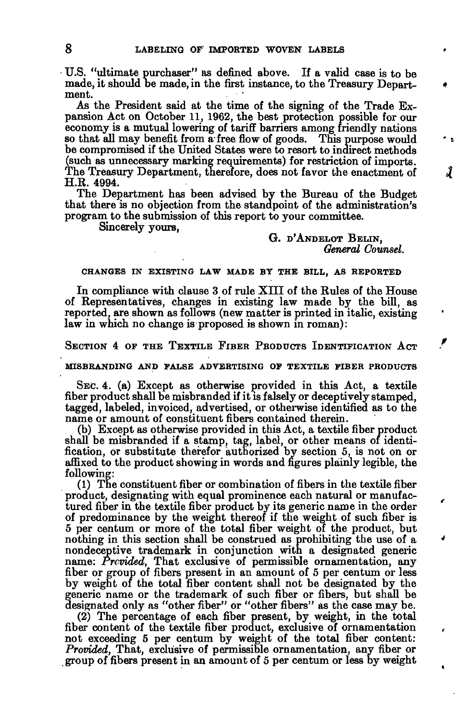U.S. "ultimate purchaser" as defined above. If a valid case is to be made, it should be made, in the first instance, to the Treasury Department.

As the President said at the time of the signing of the Trade Expansion Act on October 11, 1962, the best protection possible for our economy is a mutual lowering of tariff barriers among friendly nations so that all may benefit from a free flow of goods. This purpose would be compromised if the United States were to resort to indirect methods (such as unnecessary marking requirements) for restriction of imports. The Treasury Department, therefore, does not favor the enactment of H.R. 4994.

The Department has been advised by the Bureau of the Budget that there is no objection from the standpoint of the administration's program to the submission of this report to your committee.

Sincerely yours,

## G. D'ANDELOT BELIN, *General Counsel.*

Ĵ

### **CHANGES IN EXISTING LAW MADE BY THE BILL, AS REPORTED**

In compliance with clause 3 of rule XIII of the Rules of the House of Representatives, changes in existing law made by the bill, as reported, are shown as follows (new matter is printed in italic, existing law in which no change is proposed is shown in roman):

SECTION 4 OF THE TEXTILE FIBER PRODUCTS IDENTIFICATION ACT

MISBRANDING AND FALSE ADVERTISING OF TEXTILE FIBER PRODUCTS

SEC. 4. (a) Except as otherwise provided in this Act, a textile fiber product shall be misbranded if it is falsely or deceptively stamped, tagged, labeled, invoiced, advertised, or otherwise identified as to the name or amount of constituent fibers contained therein.

(b) Except as otherwise provided in this Act, a textile fiber product shall be misbranded if a stamp, tag, label, or other means of identification, or substitute therefor authorized by section 5, is not on or affixed to the product showing in words and figures plainly legible, the following:

(1) The constituent fiber or combination of fibers in the textile fiber product, designating with equal prominence each natural or manufactured fiber in the textile fiber product by its generic name in the order of predominance by the weight thereof if the weight of such fiber is 5 per centum or more of the total fiber weight of the product, but nothing in this section shall be construed as prohibiting the use of a nondeceptive trademark in conjunction with a designated generic name: *Provided,* That exclusive of permissible ornamentation, any fiber or group of fibers present in an amount of 5 per centum or less by weight of the total fiber content shall not be designated by the generic name or the trademark of such fiber or fibers, but shall be designated only as "other fiber" or "other fibers" as the case may be.

(2) The percentage of each fiber present, by weight, in the total fiber content of the textile fiber product, exclusive of ornamentation not exceeding 5 per centum by weight of the total fiber content: *Provided,* That, exclusive of permissible ornamentation, any fiber or group of fibers present in an amount of 5 per centum or less by weight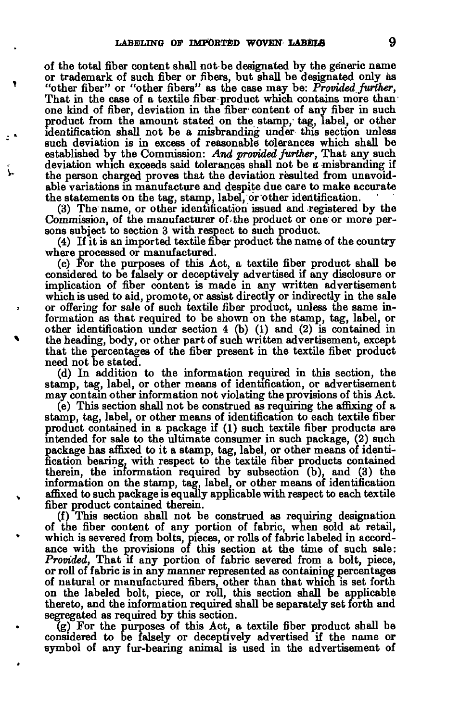of the total fiber content shall not be designated by the generic name or trademark of such fiber or fibers, but shall be designated only as "other fiber" or "other fibers" as the case may be: *Provided further,*  That in the case of a textile fiber product which contains more than one kind of fiber, deviation in the fiber content of any fiber in such product from the amount stated on the stamp, tag, label, or other identification shall not be a misbranding under this section unless such deviation is in excess of reasonable tolerances which shall be established by the Commission: *And provided further,* That any such deviation which exceeds said tolerances shall not be *a* misbranding if the person charged proves that the deviation resulted from unavoidable variations in manufacture and despite due care to make accurate the statements on the tag, stamp, label, or other identification.

(3) The name, or other identification issued and registered by the Commission, of the manufacturer of-the product or one or more persons subject to section 3 with respect to such product.

(4) If it is an imported textile fiber product the name of the country where processed or manufactured.

(c) For the purposes of this Act, a textile fiber product shall be considered to be falsely or deceptively advertised if any disclosure or implication of fiber content is made in any written advertisement which is used to aid, promote, or assist directly or indirectly in the sale or offering for sale of such textile fiber product, unless the same information as that required to be shown on the stamp, tag, label, or other identification under section 4 (b) (1) and (2) is contained in the heading, body, or other part of such written advertisement, except that the percentages of the fiber present in the textile fiber product need not be stated.

(d) In addition to the information required in this section, the stamp, tag, label, or other means of identification, or advertisement may contain other information not violating the provisions of this Act.

(e) This section shall not be construed as requiring the affixing of a stamp, tag, label, or other means of identification to each textile fiber product contained in a package if (1) such textile fiber products are intended for sale to the ultimate consumer in such package, (2) such package has affixed to it a stamp, tag, label, or other means of identification bearing, with respect to the textile fiber products contained therein, the information required by subsection (b), and (3) the information on the stamp, tag, label, or other means of identification affixed to such package is equally applicable with respect to each textile fiber product contained therein.

(f) This section shall not be construed as requiring designation of the fiber content of any portion of fabric, when sold at retail, which is severed from bolts, pieces, or rolls of fabric labeled in accordance with the provisions of this section at the time of such sale: *Provided,* That if any portion of fabric severed from a bolt, piece, or roll of fabric is in any manner represented as containing percentages of natural or manufactured fibers, other than that which is set forth on the labeled bolt, piece, or roll, this section shall be applicable thereto, and the information required shall be separately set forth and segregated as required by this section.

(g) For the purposes of this Act, a textile fiber product shall be considered to be falsely or deceptively advertised if the name or symbol of any fur-bearing animal is used in the advertisement of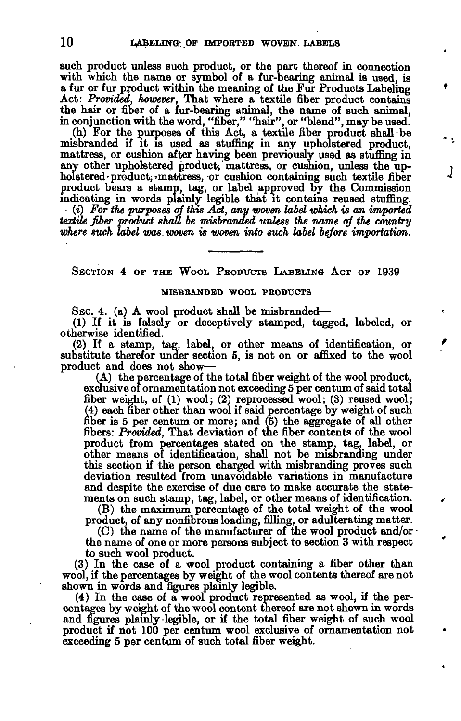such product unless such product, or the part thereof in connection with which the name or symbol of a fur-bearing animal is used, is a fur or fur product within the meaning of the Fur Products Labeling Act: *Provided, however,* That where a textile fiber product contains the hair or fiber of a fur-bearing animal, the name of such animal, in conjunction with the word, "fiber," "hair", or "blend", may be used.

(h) For the purposes of this Act, a textile fiber product shall be misbranded if it is used as stuffing in any upholstered product, mattress, or cushion after having been previously used as stuffing in any other upholstered product; mattress, or cushion, unless the upholstered-product, mattress, or cushion containing such textile fiber product bears a stamp, tag, or label approved by the Commission indicating in words plainly legible that it contains reused stuffing. *(i) For the purposes of this Act, any woven label which is an imported textile fiber product shall be misbranded unless the name of the country where such label was. woven is woven into such label before importation.* 

J

SECTION 4 OF THE WOOL PRODUCTS LABELING ACT OP 1939

### MISBRANDED WOOL PRODUCTS

SEC. 4. (a) A wool product shall be misbranded—

(1) If it is falsely or deceptively stamped, tagged, labeled, or otherwise identified.

(2) If a stamp, tag, label, or other means of identification, or substitute therefor under section 5, is not on or affixed to the wool product and does not show—

(A) the percentage of the total fiber weight of the wool product, exclusive of ornamentation not exceeding 5 per centum of said total fiber weight, of (1) wool; (2) reprocessed wool; (3) reused wool; (4) each fiber other than wool if said percentage by weight of such fiber is 5 per centum or more; and (5) the aggregate of all other fibers: *Provided,* That deviation of the fiber contents of the wool product from percentages stated on the stamp, tag, label, or other means of identification, shall not be misbranding under this section if the person charged with misbranding proves such deviation resulted from unavoidable variations in manufacture and despite the exercise of due care to make accurate the statements on such stamp, tag, label, or other means of identification.

(B) the maximum percentage of the total weight of the wool product, of any nonfibrous loading, filling, or adulterating matter.

(C) the name of the manufacturer of the wool product and/or the name of one or more persons subject to section 3 with respect to such wool product.

(3) In the case of a wool product containing a fiber other than wool, if the percentages by weight of the wool contents thereof are not shown in words and figures plainly legible.

(4) In the case of a wool product represented as wool, if the percentages by weight of the wool content thereof are not shown in words and figures plainly legible, or if the total fiber weight of such wool product if not 100 per centum wool exclusive of ornamentation not exceeding 5 per centum of such total fiber weight.